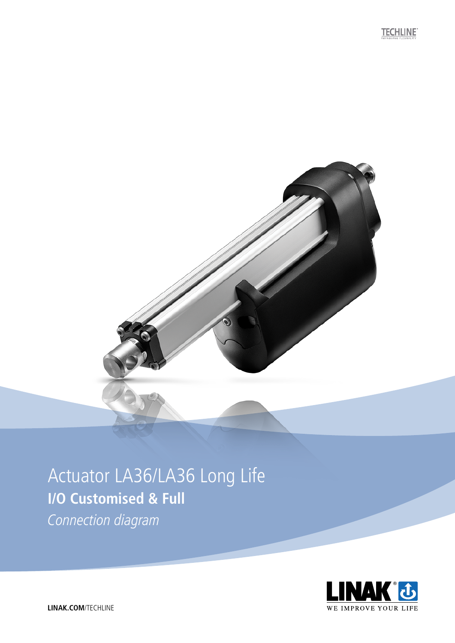

## Actuator LA36/LA36 Long Life **I/O Customised & Full**

Connection diagram

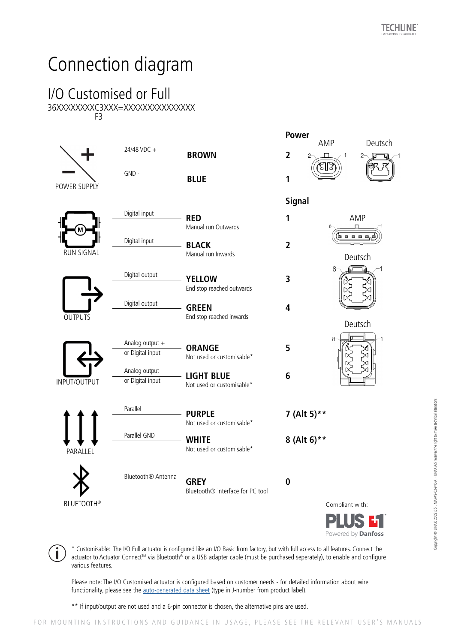## Connection diagram

## I/O Customised or Full 36XXXXXXXXC3XXX=XXXXXXXXXXXXXXX F3



\* Customisable: The I/O Full actuator is configured like an I/O Basic from factory, but with full access to all features. Connect the actuator to Actuator Connect™ via Bluetooth<sup>®</sup> or a USB adapter cable (must be purchased seperately), to enable and configure various features.

Please note: The I/O Customised actuator is configured based on customer needs - for detailed information about wire functionality, please see the [auto-generated data sheet](https://www.linak.com/products/data-sheet-config/) (type in J-number from product label).

\*\* If input/output are not used and a 6-pin connector is chosen, the alternative pins are used.

Copyright © LINAK 2022.05 . MA-M9-02-940-A . LINAK A/S reserves the right to make technical alterations

Copyright © LINAK 2022.05 . MA-M9-02-940-A - LINAK A/S reserves the right to make technical alterations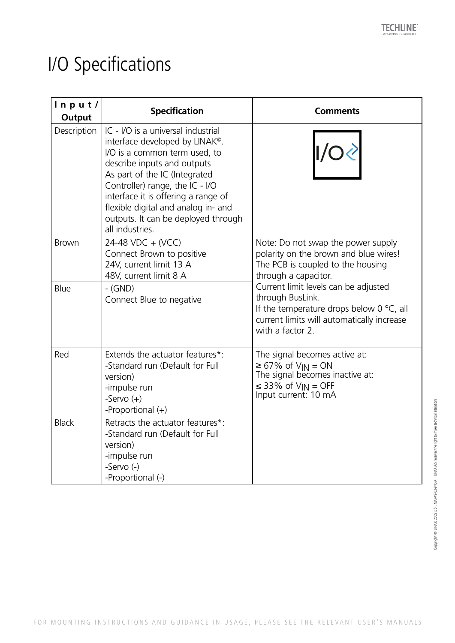## I/O Specifications

| ln p u t /<br>Output | <b>Specification</b>                                                                                                                                                                                                                                                                                                                                          | <b>Comments</b>                                                                                                                                                                                                                                                                                                             |
|----------------------|---------------------------------------------------------------------------------------------------------------------------------------------------------------------------------------------------------------------------------------------------------------------------------------------------------------------------------------------------------------|-----------------------------------------------------------------------------------------------------------------------------------------------------------------------------------------------------------------------------------------------------------------------------------------------------------------------------|
| Description          | IC - I/O is a universal industrial<br>interface developed by LINAK <sup>®</sup> .<br>I/O is a common term used, to<br>describe inputs and outputs<br>As part of the IC (Integrated<br>Controller) range, the IC - I/O<br>interface it is offering a range of<br>flexible digital and analog in- and<br>outputs. It can be deployed through<br>all industries. | 1/O                                                                                                                                                                                                                                                                                                                         |
| <b>Brown</b>         | 24-48 VDC + (VCC)<br>Connect Brown to positive<br>24V, current limit 13 A<br>48V, current limit 8 A                                                                                                                                                                                                                                                           | Note: Do not swap the power supply<br>polarity on the brown and blue wires!<br>The PCB is coupled to the housing<br>through a capacitor.<br>Current limit levels can be adjusted<br>through BusLink.<br>If the temperature drops below $0^{\circ}C$ , all<br>current limits will automatically increase<br>with a factor 2. |
| Blue                 | $-$ (GND)<br>Connect Blue to negative                                                                                                                                                                                                                                                                                                                         |                                                                                                                                                                                                                                                                                                                             |
| Red                  | Extends the actuator features*:<br>-Standard run (Default for Full<br>version)<br>-impulse run<br>-Servo $(+)$<br>-Proportional $(+)$                                                                                                                                                                                                                         | The signal becomes active at:<br>$\geq 67\%$ of $V_{IN} = ON$<br>The signal becomes inactive at:<br>$\leq$ 33% of V <sub>IN</sub> = OFF<br>Input current: 10 mA                                                                                                                                                             |
| <b>Black</b>         | Retracts the actuator features*:<br>-Standard run (Default for Full<br>version)<br>-impulse run<br>-Servo (-)<br>-Proportional (-)                                                                                                                                                                                                                            |                                                                                                                                                                                                                                                                                                                             |